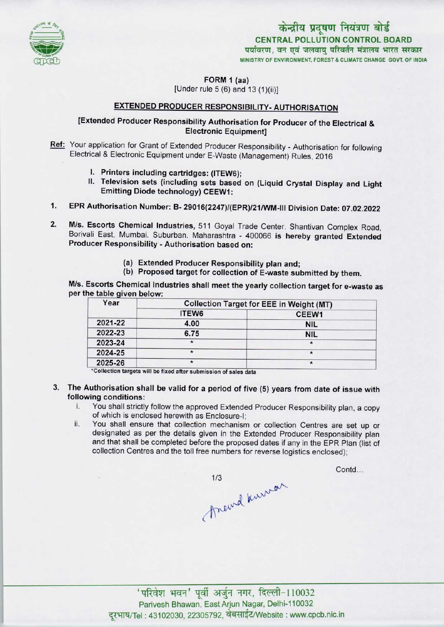

केन्द्रीय प्रदूषण नियंत्रण बोर्ड CENTRAL POLLUTION CONTROL BOARD पर्यावरण, वन एवं जलवाय परिवर्तन मंत्रालय भारत सरकार MINISTRY OF ENVIRONMENT, FOREST & CLIMATE CHANGE GOVT. OF INDIA

FORM 1 (aa)

[Under rule  $5(6)$  and  $13(1)(ii)$ ]

## EXTENDED PRODUCER RESPONSIBILITY-AUTHORISATION

## [Extended Producer Responsibility Authorisation for Producer of the Electrical & Electronic Equipment]

Ref: Your application for Grant of Extended Producer Responsibility - Authorisation for following Electrical & Electronic Equipment under E-Waste (Management) Rules, 2016

- I. Printers including cartridges: (ITEW6);
- II. Television sets (including sets based on (Liquid Crystal Display and Light Emitting Diode technology) CEEW1:
- 1.EPR Authorisation Number: B- 29016(2247)/(EPR)/21/WM-lll Division Date: 07.02.2022
- 2. M/s. Escorts Chemical Industries, 511 Goyal Trade Center. Shantivan Complex Road, Borivali East, Mumbai. Suburban. Maharashtra - 400066 is hereby granted Extended Producer Responsibility - Authorisation based on:
	- (a)Extended Producer Responsibility plan and;
	- (b) Proposed target for collection of E-waste submitted by them.

M/s. Escorts Chemical Industries shall meet the yearly collection target for e-waste as per the table given below:

| Year    | <b>Collection Target for EEE in Weight (MT)</b> |            |
|---------|-------------------------------------------------|------------|
|         | ITEW6                                           | CEEW1      |
| 2021-22 | 4.00                                            | <b>NIL</b> |
| 2022-23 | 6.75                                            | <b>NIL</b> |
| 2023-24 | $\star$                                         |            |
| 2024-25 |                                                 |            |
| 2025-26 | $\star$                                         |            |

\*Collection targets will be fixed after submission of sales data

- 3. The Authorisation shall be valid for a period of five (5) years from date of issue with following conditions:<br>i. You shall strictly
	- You shall strictly follow the approved Extended Producer Responsibility plan, a copy of which is enclosed herewith as Enclosure-I;
	- ii. You shall ensure that collection mechanism or collection Centres are set up or designated as per the details given in the Extended Producer Responsibility plan and that shall be completed before the proposed dates if any in the EPR Plan (list of collection Centres and the toll free numbers for reverse logistics enclosed);

1/3<br>Anewal knowar

Contd...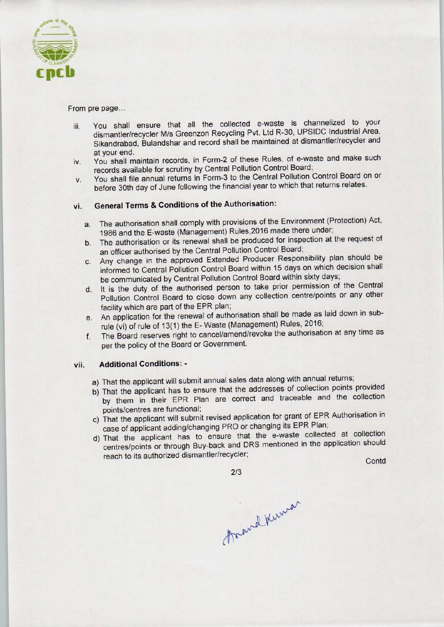

From pre page...

- iii. You shall ensure that all the collected e-waste is channelized to your dismantler/recycler M/s Greenzon Recycling Pvt. Ltd R-30, UPSIDC Industrial Area, Sikandrabad, Bulandshar and record shall be maintained at dismantler/recycler and at your end.
- iv. You shall maintain records, in Form-2 of these Rules, of e-waste and make such records available for scrutiny by Central Pollution Control Board;
- v. You shall file annual returns in Form-3 to the Central Pollution Control Board on or before 30th day of June following the financial year to which that returns relates.

## vi. General Terms & Conditions of the Authorisation:

- a. The authorisation shall comply with provisions of the Environment (Protection) Act, 1986 and the E-waste (Management) Rules, 2016 made there under;
- b.The authorisation or its renewal shall be produced for inspection at the request of an officer authorised by the Central Pollution Control Board;
- c.Any change in the approved Extended Producer Responsibility plan should be informed to Central Pollution Control Board within 15 days on which decision shall be communicated by Central Pollution Control Board within sixty days;
- d. It is the duty of the authorised person to take prior permission of the Central Pollution Control Board to close down any collection centre/points or any other facility which are part of the EPR plan;
- e.An application for the renewal of authorisation shall be made aslaid down in subrule (vi) of rule of 13(1) the E- Waste (Management) Rules. 2016;
- f. The Board reserves right to cancel/amend/revoke the authorisation at any time as per the policy of the Board or Government.

## vii. Additional Conditions: -

- a) That the applicant will submit annual sales data along with annual returns;
- b) That the applicant has to ensure that the addresses of collection points provided by them in their EPR Plan are correct and traceable and the collection points/centres are functional;
- c) That the applicant will submit revised application for grant of EPR Authorisation in case of applicant adding/changing PRO or changing its EPR Plan;
- case of applicant adding/changing FNO of changing its Entertaint.<br>d) That the applicant has to ensure that the e-waste collected at collection centres/points or through Buy-back and DRS mentioned in the application should Pollution Control Board to close down any collection centrality which are part of the EPR plan;<br>
An application for the renewal of authorisation shall be made in the forewal of authorisation shall be made in the concel/ame Ide and the collection<br>of EPR Authorisation in<br>Repart Plan;<br>collected at collection<br>the application should<br>Contd

2/3